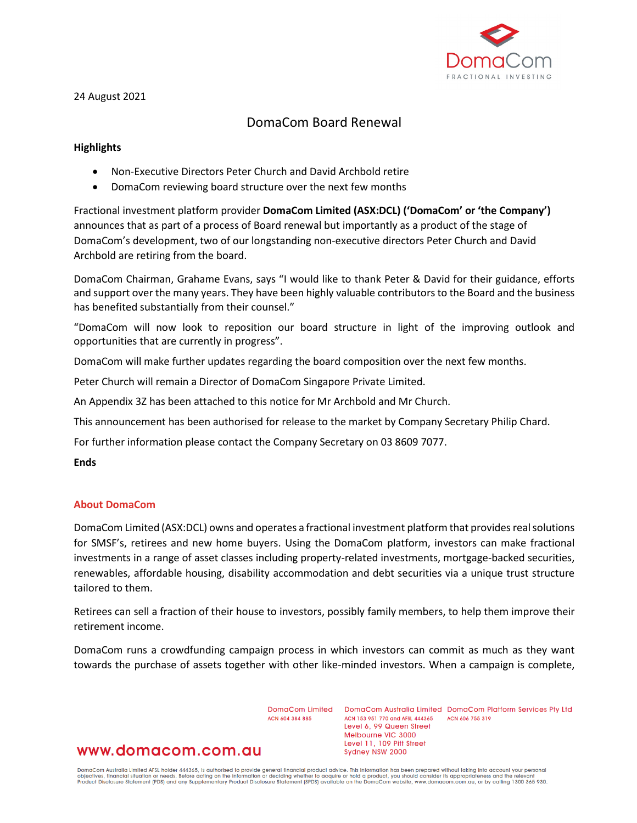

24 August 2021

## DomaCom Board Renewal

## **Highlights**

- Non-Executive Directors Peter Church and David Archbold retire
- DomaCom reviewing board structure over the next few months

Fractional investment platform provider **DomaCom Limited (ASX:DCL) ('DomaCom' or 'the Company')**  announces that as part of a process of Board renewal but importantly as a product of the stage of DomaCom's development, two of our longstanding non-executive directors Peter Church and David Archbold are retiring from the board.

DomaCom Chairman, Grahame Evans, says "I would like to thank Peter & David for their guidance, efforts and support over the many years. They have been highly valuable contributors to the Board and the business has benefited substantially from their counsel."

"DomaCom will now look to reposition our board structure in light of the improving outlook and opportunities that are currently in progress".

DomaCom will make further updates regarding the board composition over the next few months.

Peter Church will remain a Director of DomaCom Singapore Private Limited.

An Appendix 3Z has been attached to this notice for Mr Archbold and Mr Church.

This announcement has been authorised for release to the market by Company Secretary Philip Chard.

For further information please contact the Company Secretary on 03 8609 7077.

#### **Ends**

## **About DomaCom**

DomaCom Limited (ASX:DCL) owns and operates a fractional investment platform that provides real solutions for SMSF's, retirees and new home buyers. Using the DomaCom platform, investors can make fractional investments in a range of asset classes including property-related investments, mortgage-backed securities, renewables, affordable housing, disability accommodation and debt securities via a unique trust structure tailored to them.

Retirees can sell a fraction of their house to investors, possibly family members, to help them improve their retirement income.

DomaCom runs a crowdfunding campaign process in which investors can commit as much as they want towards the purchase of assets together with other like-minded investors. When a campaign is complete,

ACN 604 384 885

DomaCom Limited DomaCom Australia Limited DomaCom Platform Services Pty Ltd ACN 153 951 770 and AFSL 444365 ACN 606 755 319 Level 6, 99 Queen Street Melbourne VIC 3000 Level 11, 109 Pitt Street Sydney NSW 2000

## www.domacom.com.au

DomaCom Australia Limited AFSL holder 444365, is authorised to provide general financial product advice. This information has been prepared without taking into account your personal<br>objectives, financial situation or needs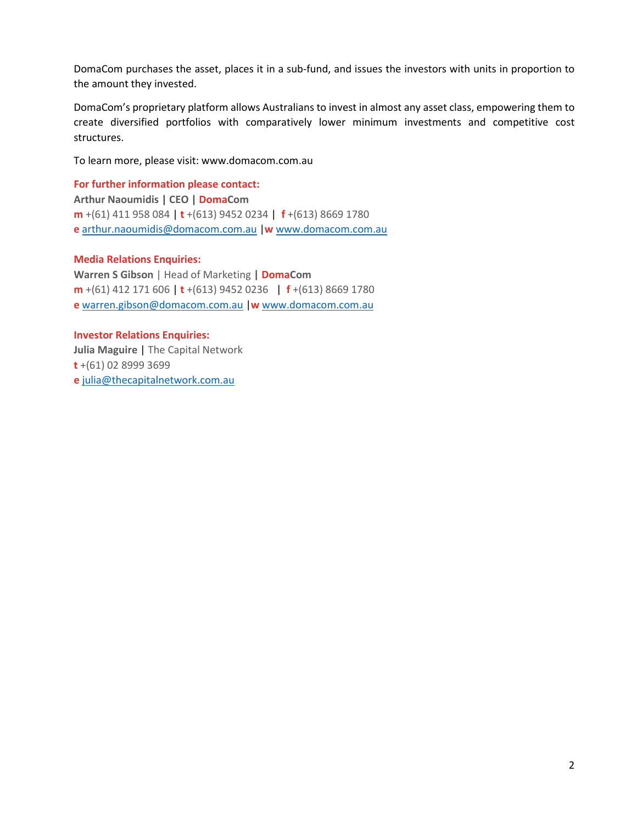DomaCom purchases the asset, places it in a sub-fund, and issues the investors with units in proportion to the amount they invested.

DomaCom's proprietary platform allows Australians to invest in almost any asset class, empowering them to create diversified portfolios with comparatively lower minimum investments and competitive cost structures.

To learn more, please visit: www.domacom.com.au

## **For further information please contact:**

**Arthur Naoumidis** | **CEO** | **DomaCom m** +(61) 411 958 084 | **t** +(613) 9452 0234 | **f** +(613) 8669 1780 **e** [arthur.naoumidis@domacom.com.au](mailto:arthur.naoumidis@domacom.com.au) |**w** [www.domacom.com.au](http://www.domacom.com.au/)

## **Media Relations Enquiries:**

**Warren S Gibson** | Head of Marketing **| DomaCom m** +(61) 412 171 606 | **t** +(613) 9452 0236 | **f** +(613) 8669 1780 **e** [warren.gibson@domacom.com.au](mailto:warren.gibson@domacom.com.au) |**w** [www.domacom.com.au](http://www.domacom.com.au/)

## **Investor Relations Enquiries:**

**Julia Maguire** | The Capital Network **t** +(61) 02 8999 3699 **e** [julia@thecapitalnetwork.com.au](mailto:julia@thecapitalnetwork.com.au)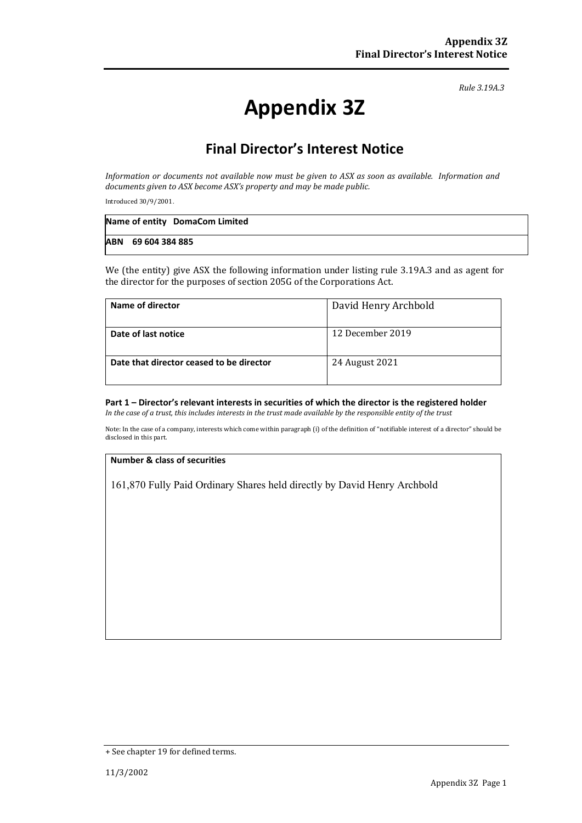*Rule 3.19A.3*

# **Appendix 3Z**

## **Final Director's Interest Notice**

*Information or documents not available now must be given to ASX as soon as available. Information and documents given to ASX become ASX's property and may be made public.*

Introduced 30/9/2001.

| Name of entity DomaCom Limited |
|--------------------------------|
| ABN 69 604 384 885             |

We (the entity) give ASX the following information under listing rule 3.19A.3 and as agent for the director for the purposes of section 205G of the Corporations Act.

| Name of director                         | David Henry Archbold |
|------------------------------------------|----------------------|
| Date of last notice                      | 12 December 2019     |
| Date that director ceased to be director | 24 August 2021       |

#### **Part 1 – Director's relevant interests in securities of which the director is the registered holder** *In the case of a trust, this includes interests in the trust made available by the responsible entity of the trust*

Note: In the case of a company, interests which come within paragraph (i) of the definition of "notifiable interest of a director" should be disclosed in this part.

#### **Number & class of securities**

161,870 Fully Paid Ordinary Shares held directly by David Henry Archbold

<sup>+</sup> See chapter 19 for defined terms.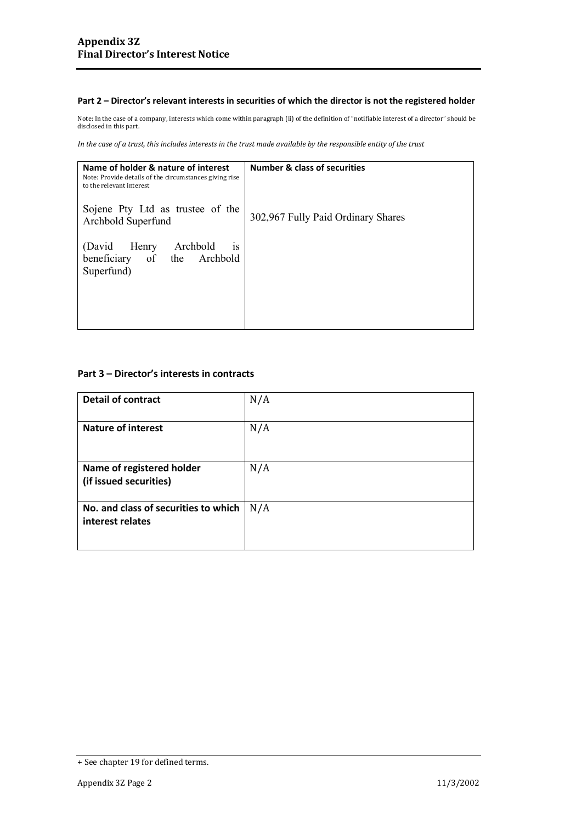## **Part 2 – Director's relevant interests in securities of which the director is not the registered holder**

Note: In the case of a company, interests which come within paragraph (ii) of the definition of "notifiable interest of a director" should be disclosed in this part.

*In the case of a trust, this includes interests in the trust made available by the responsible entity of the trust*

| Name of holder & nature of interest<br>Note: Provide details of the circumstances giving rise<br>to the relevant interest | <b>Number &amp; class of securities</b> |
|---------------------------------------------------------------------------------------------------------------------------|-----------------------------------------|
| Sojene Pty Ltd as trustee of the<br>Archbold Superfund                                                                    | 302,967 Fully Paid Ordinary Shares      |
| Archbold<br>(David<br>Henry<br><b>1S</b><br>beneficiary of the Archbold<br>Superfund)                                     |                                         |

## **Part 3 – Director's interests in contracts**

| <b>Detail of contract</b>                                | N/A |
|----------------------------------------------------------|-----|
| <b>Nature of interest</b>                                | N/A |
| Name of registered holder<br>(if issued securities)      | N/A |
| No. and class of securities to which<br>interest relates | N/A |

<sup>+</sup> See chapter 19 for defined terms.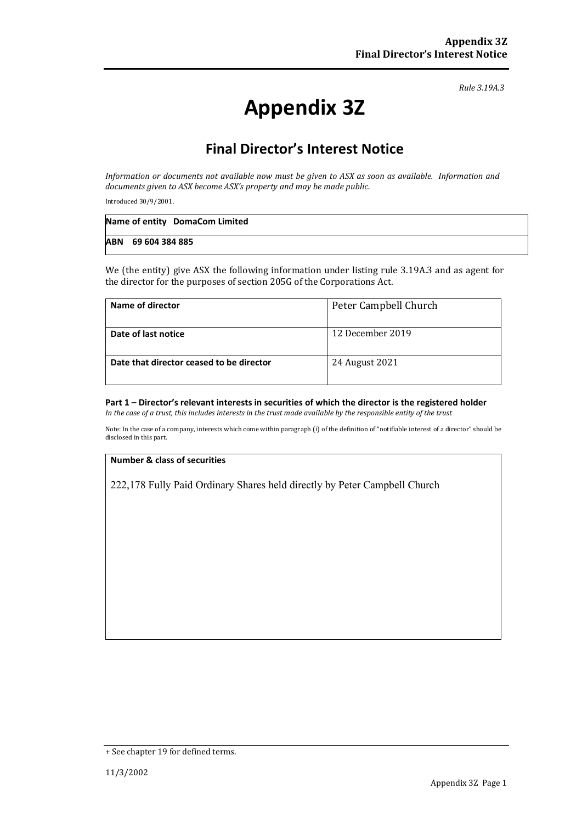*Rule 3.19A.3*

# **Appendix 3Z**

## **Final Director's Interest Notice**

*Information or documents not available now must be given to ASX as soon as available. Information and documents given to ASX become ASX's property and may be made public.*

Introduced 30/9/2001.

| Name of entity DomaCom Limited |
|--------------------------------|
| ABN 69 604 384 885             |

We (the entity) give ASX the following information under listing rule 3.19A.3 and as agent for the director for the purposes of section 205G of the Corporations Act.

| Name of director                         | Peter Campbell Church |
|------------------------------------------|-----------------------|
| Date of last notice                      | 12 December 2019      |
| Date that director ceased to be director | 24 August 2021        |

#### **Part 1 – Director's relevant interests in securities of which the director is the registered holder** *In the case of a trust, this includes interests in the trust made available by the responsible entity of the trust*

Note: In the case of a company, interests which come within paragraph (i) of the definition of "notifiable interest of a director" should be disclosed in this part.

#### **Number & class of securities**

222,178 Fully Paid Ordinary Shares held directly by Peter Campbell Church

<sup>+</sup> See chapter 19 for defined terms.